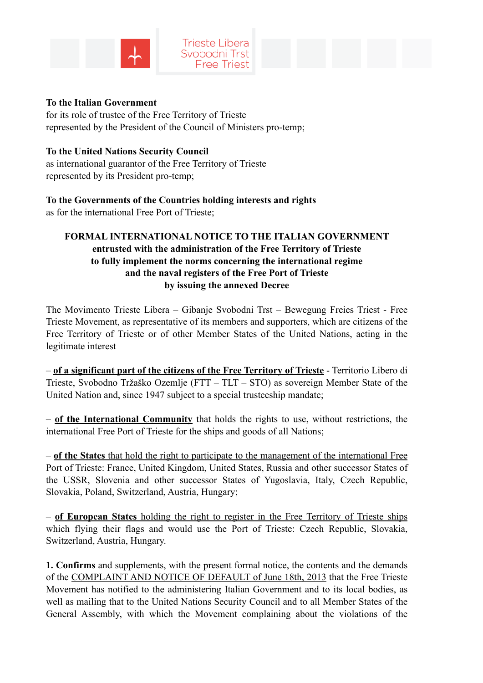



#### **To the Italian Government**

for its role of trustee of the Free Territory of Trieste represented by the President of the Council of Ministers pro-temp;

#### **To the United Nations Security Council**

as international guarantor of the Free Territory of Trieste represented by its President pro-temp;

**To the Governments of the Countries holding interests and rights**  as for the international Free Port of Trieste;

## **FORMAL INTERNATIONAL NOTICE TO THE ITALIAN GOVERNMENT entrusted with the administration of the Free Territory of Trieste to fully implement the norms concerning the international regime and the naval registers of the Free Port of Trieste by issuing the annexed Decree**

The Movimento Trieste Libera – Gibanje Svobodni Trst – Bewegung Freies Triest - Free Trieste Movement, as representative of its members and supporters, which are citizens of the Free Territory of Trieste or of other Member States of the United Nations, acting in the legitimate interest

– **of a significant part of the citizens of the Free Territory of Trieste** - Territorio Libero di Trieste, Svobodno Tržaško Ozemlje (FTT – TLT – STO) as sovereign Member State of the United Nation and, since 1947 subject to a special trusteeship mandate;

– **of the International Community** that holds the rights to use, without restrictions, the international Free Port of Trieste for the ships and goods of all Nations;

– **of the States** that hold the right to participate to the management of the international Free Port of Trieste: France, United Kingdom, United States, Russia and other successor States of the USSR, Slovenia and other successor States of Yugoslavia, Italy, Czech Republic, Slovakia, Poland, Switzerland, Austria, Hungary;

– **of European States** holding the right to register in the Free Territory of Trieste ships which flying their flags and would use the Port of Trieste: Czech Republic, Slovakia, Switzerland, Austria, Hungary.

**1. Confirms** and supplements, with the present formal notice, the contents and the demands of the COMPLAINT AND NOTICE OF DEFAULT of June 18th, 2013 that the Free Trieste Movement has notified to the administering Italian Government and to its local bodies, as well as mailing that to the United Nations Security Council and to all Member States of the General Assembly, with which the Movement complaining about the violations of the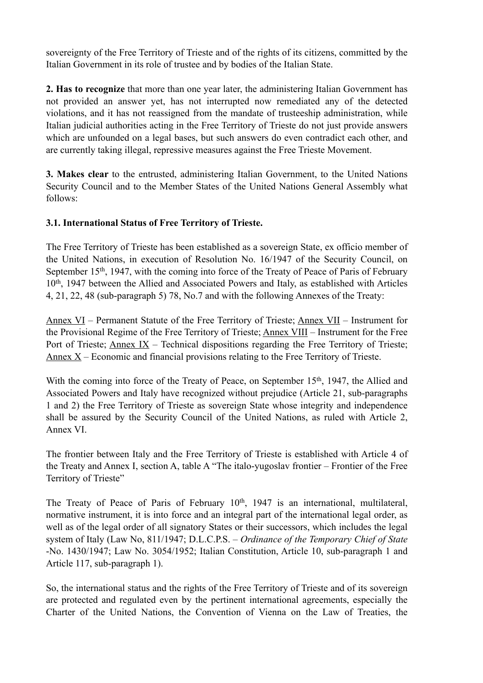sovereignty of the Free Territory of Trieste and of the rights of its citizens, committed by the Italian Government in its role of trustee and by bodies of the Italian State.

**2. Has to recognize** that more than one year later, the administering Italian Government has not provided an answer yet, has not interrupted now remediated any of the detected violations, and it has not reassigned from the mandate of trusteeship administration, while Italian judicial authorities acting in the Free Territory of Trieste do not just provide answers which are unfounded on a legal bases, but such answers do even contradict each other, and are currently taking illegal, repressive measures against the Free Trieste Movement.

**3. Makes clear** to the entrusted, administering Italian Government, to the United Nations Security Council and to the Member States of the United Nations General Assembly what follows:

### **3.1. International Status of Free Territory of Trieste.**

The Free Territory of Trieste has been established as a sovereign State, ex officio member of the United Nations, in execution of Resolution No. 16/1947 of the Security Council, on September 15<sup>th</sup>, 1947, with the coming into force of the Treaty of Peace of Paris of February 10th, 1947 between the Allied and Associated Powers and Italy, as established with Articles 4, 21, 22, 48 (sub-paragraph 5) 78, No.7 and with the following Annexes of the Treaty:

Annex VI – Permanent Statute of the Free Territory of Trieste; Annex VII – Instrument for the Provisional Regime of the Free Territory of Trieste; Annex VIII – Instrument for the Free Port of Trieste; Annex IX – Technical dispositions regarding the Free Territory of Trieste; Annex  $X$  – Economic and financial provisions relating to the Free Territory of Trieste.

With the coming into force of the Treaty of Peace, on September 15<sup>th</sup>, 1947, the Allied and Associated Powers and Italy have recognized without prejudice (Article 21, sub-paragraphs 1 and 2) the Free Territory of Trieste as sovereign State whose integrity and independence shall be assured by the Security Council of the United Nations, as ruled with Article 2, Annex VI.

The frontier between Italy and the Free Territory of Trieste is established with Article 4 of the Treaty and Annex I, section A, table A "The italo-yugoslav frontier – Frontier of the Free Territory of Trieste"

The Treaty of Peace of Paris of February 10<sup>th</sup>, 1947 is an international, multilateral, normative instrument, it is into force and an integral part of the international legal order, as well as of the legal order of all signatory States or their successors, which includes the legal system of Italy (Law No, 811/1947; D.L.C.P.S. – *Ordinance of the Temporary Chief of State* -No. 1430/1947; Law No. 3054/1952; Italian Constitution, Article 10, sub-paragraph 1 and Article 117, sub-paragraph 1).

So, the international status and the rights of the Free Territory of Trieste and of its sovereign are protected and regulated even by the pertinent international agreements, especially the Charter of the United Nations, the Convention of Vienna on the Law of Treaties, the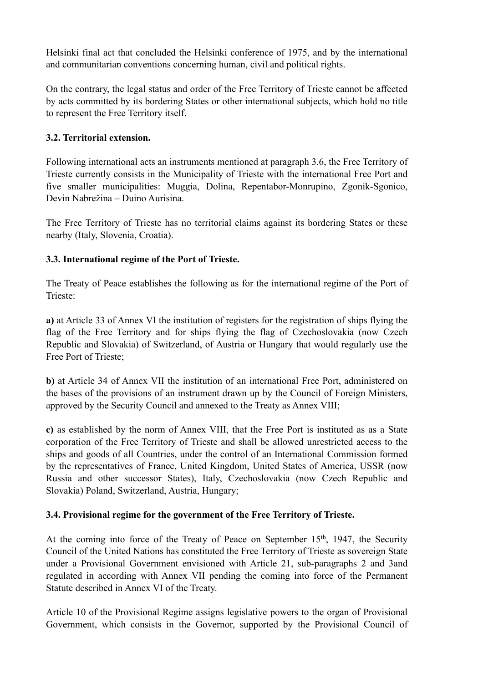Helsinki final act that concluded the Helsinki conference of 1975, and by the international and communitarian conventions concerning human, civil and political rights.

On the contrary, the legal status and order of the Free Territory of Trieste cannot be affected by acts committed by its bordering States or other international subjects, which hold no title to represent the Free Territory itself.

## **3.2. Territorial extension.**

Following international acts an instruments mentioned at paragraph 3.6, the Free Territory of Trieste currently consists in the Municipality of Trieste with the international Free Port and five smaller municipalities: Muggia, Dolina, Repentabor-Monrupino, Zgonik-Sgonico, Devin Nabrežina – Duino Aurisina.

The Free Territory of Trieste has no territorial claims against its bordering States or these nearby (Italy, Slovenia, Croatia).

# **3.3. International regime of the Port of Trieste.**

The Treaty of Peace establishes the following as for the international regime of the Port of Trieste:

**a)** at Article 33 of Annex VI the institution of registers for the registration of ships flying the flag of the Free Territory and for ships flying the flag of Czechoslovakia (now Czech Republic and Slovakia) of Switzerland, of Austria or Hungary that would regularly use the Free Port of Trieste;

**b)** at Article 34 of Annex VII the institution of an international Free Port, administered on the bases of the provisions of an instrument drawn up by the Council of Foreign Ministers, approved by the Security Council and annexed to the Treaty as Annex VIII;

**c)** as established by the norm of Annex VIII, that the Free Port is instituted as as a State corporation of the Free Territory of Trieste and shall be allowed unrestricted access to the ships and goods of all Countries, under the control of an International Commission formed by the representatives of France, United Kingdom, United States of America, USSR (now Russia and other successor States), Italy, Czechoslovakia (now Czech Republic and Slovakia) Poland, Switzerland, Austria, Hungary;

## **3.4. Provisional regime for the government of the Free Territory of Trieste.**

At the coming into force of the Treaty of Peace on September  $15<sup>th</sup>$ , 1947, the Security Council of the United Nations has constituted the Free Territory of Trieste as sovereign State under a Provisional Government envisioned with Article 21, sub-paragraphs 2 and 3and regulated in according with Annex VII pending the coming into force of the Permanent Statute described in Annex VI of the Treaty.

Article 10 of the Provisional Regime assigns legislative powers to the organ of Provisional Government, which consists in the Governor, supported by the Provisional Council of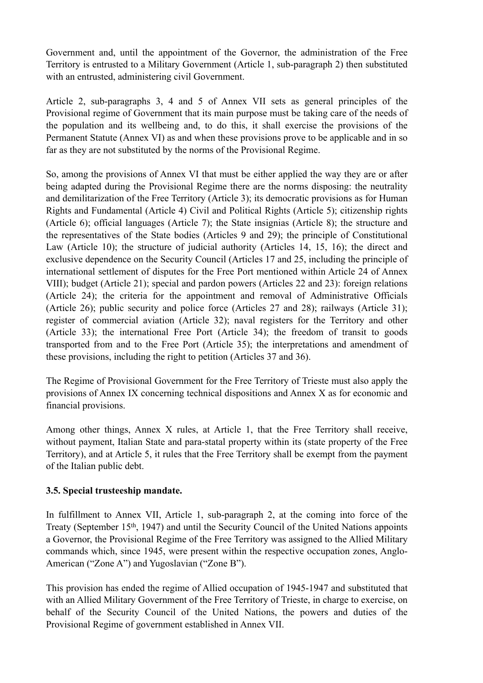Government and, until the appointment of the Governor, the administration of the Free Territory is entrusted to a Military Government (Article 1, sub-paragraph 2) then substituted with an entrusted, administering civil Government.

Article 2, sub-paragraphs 3, 4 and 5 of Annex VII sets as general principles of the Provisional regime of Government that its main purpose must be taking care of the needs of the population and its wellbeing and, to do this, it shall exercise the provisions of the Permanent Statute (Annex VI) as and when these provisions prove to be applicable and in so far as they are not substituted by the norms of the Provisional Regime.

So, among the provisions of Annex VI that must be either applied the way they are or after being adapted during the Provisional Regime there are the norms disposing: the neutrality and demilitarization of the Free Territory (Article 3); its democratic provisions as for Human Rights and Fundamental (Article 4) Civil and Political Rights (Article 5); citizenship rights (Article 6); official languages (Article 7); the State insignias (Article 8); the structure and the representatives of the State bodies (Articles 9 and 29); the principle of Constitutional Law (Article 10); the structure of judicial authority (Articles 14, 15, 16); the direct and exclusive dependence on the Security Council (Articles 17 and 25, including the principle of international settlement of disputes for the Free Port mentioned within Article 24 of Annex VIII); budget (Article 21); special and pardon powers (Articles 22 and 23): foreign relations (Article 24); the criteria for the appointment and removal of Administrative Officials (Article 26); public security and police force (Articles 27 and 28); railways (Article 31); register of commercial aviation (Article 32); naval registers for the Territory and other (Article 33); the international Free Port (Article 34); the freedom of transit to goods transported from and to the Free Port (Article 35); the interpretations and amendment of these provisions, including the right to petition (Articles 37 and 36).

The Regime of Provisional Government for the Free Territory of Trieste must also apply the provisions of Annex IX concerning technical dispositions and Annex X as for economic and financial provisions.

Among other things, Annex X rules, at Article 1, that the Free Territory shall receive, without payment, Italian State and para-statal property within its (state property of the Free Territory), and at Article 5, it rules that the Free Territory shall be exempt from the payment of the Italian public debt.

### **3.5. Special trusteeship mandate.**

In fulfillment to Annex VII, Article 1, sub-paragraph 2, at the coming into force of the Treaty (September 15th, 1947) and until the Security Council of the United Nations appoints a Governor, the Provisional Regime of the Free Territory was assigned to the Allied Military commands which, since 1945, were present within the respective occupation zones, Anglo-American ("Zone A") and Yugoslavian ("Zone B").

This provision has ended the regime of Allied occupation of 1945-1947 and substituted that with an Allied Military Government of the Free Territory of Trieste, in charge to exercise, on behalf of the Security Council of the United Nations, the powers and duties of the Provisional Regime of government established in Annex VII.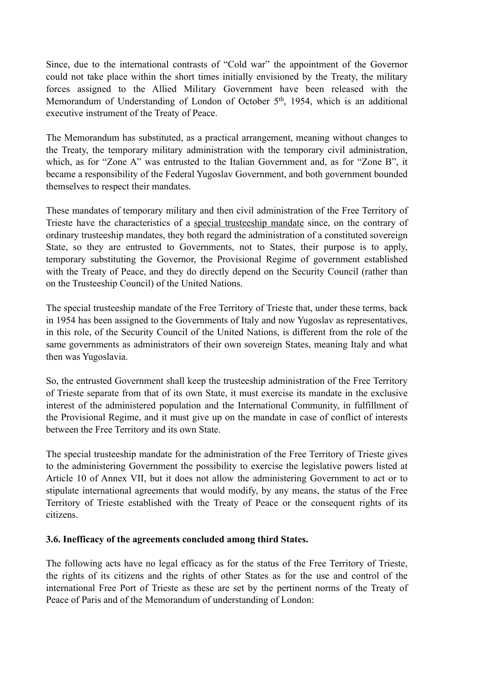Since, due to the international contrasts of "Cold war" the appointment of the Governor could not take place within the short times initially envisioned by the Treaty, the military forces assigned to the Allied Military Government have been released with the Memorandum of Understanding of London of October 5th, 1954, which is an additional executive instrument of the Treaty of Peace.

The Memorandum has substituted, as a practical arrangement, meaning without changes to the Treaty, the temporary military administration with the temporary civil administration, which, as for "Zone A" was entrusted to the Italian Government and, as for "Zone B", it became a responsibility of the Federal Yugoslav Government, and both government bounded themselves to respect their mandates.

These mandates of temporary military and then civil administration of the Free Territory of Trieste have the characteristics of a special trusteeship mandate since, on the contrary of ordinary trusteeship mandates, they both regard the administration of a constituted sovereign State, so they are entrusted to Governments, not to States, their purpose is to apply, temporary substituting the Governor, the Provisional Regime of government established with the Treaty of Peace, and they do directly depend on the Security Council (rather than on the Trusteeship Council) of the United Nations.

The special trusteeship mandate of the Free Territory of Trieste that, under these terms, back in 1954 has been assigned to the Governments of Italy and now Yugoslav as representatives, in this role, of the Security Council of the United Nations, is different from the role of the same governments as administrators of their own sovereign States, meaning Italy and what then was Yugoslavia.

So, the entrusted Government shall keep the trusteeship administration of the Free Territory of Trieste separate from that of its own State, it must exercise its mandate in the exclusive interest of the administered population and the International Community, in fulfillment of the Provisional Regime, and it must give up on the mandate in case of conflict of interests between the Free Territory and its own State.

The special trusteeship mandate for the administration of the Free Territory of Trieste gives to the administering Government the possibility to exercise the legislative powers listed at Article 10 of Annex VII, but it does not allow the administering Government to act or to stipulate international agreements that would modify, by any means, the status of the Free Territory of Trieste established with the Treaty of Peace or the consequent rights of its citizens.

### **3.6. Inefficacy of the agreements concluded among third States.**

The following acts have no legal efficacy as for the status of the Free Territory of Trieste, the rights of its citizens and the rights of other States as for the use and control of the international Free Port of Trieste as these are set by the pertinent norms of the Treaty of Peace of Paris and of the Memorandum of understanding of London: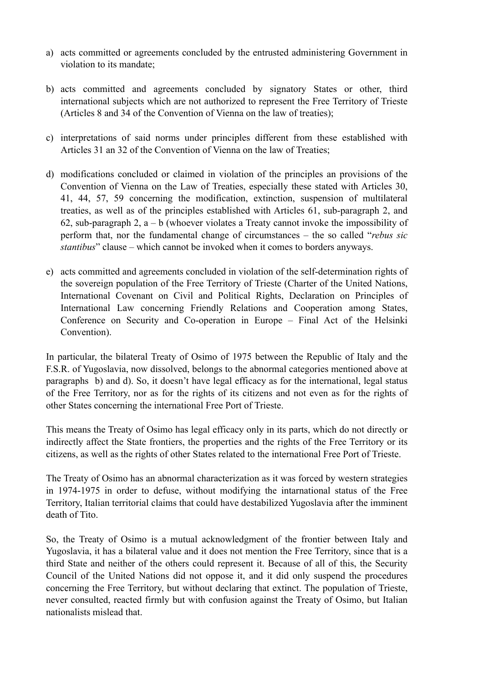- a) acts committed or agreements concluded by the entrusted administering Government in violation to its mandate;
- b) acts committed and agreements concluded by signatory States or other, third international subjects which are not authorized to represent the Free Territory of Trieste (Articles 8 and 34 of the Convention of Vienna on the law of treaties);
- c) interpretations of said norms under principles different from these established with Articles 31 an 32 of the Convention of Vienna on the law of Treaties;
- d) modifications concluded or claimed in violation of the principles an provisions of the Convention of Vienna on the Law of Treaties, especially these stated with Articles 30, 41, 44, 57, 59 concerning the modification, extinction, suspension of multilateral treaties, as well as of the principles established with Articles 61, sub-paragraph 2, and 62, sub-paragraph 2,  $a - b$  (whoever violates a Treaty cannot invoke the impossibility of perform that, nor the fundamental change of circumstances – the so called "*rebus sic stantibus*" clause – which cannot be invoked when it comes to borders anyways.
- e) acts committed and agreements concluded in violation of the self-determination rights of the sovereign population of the Free Territory of Trieste (Charter of the United Nations, International Covenant on Civil and Political Rights, Declaration on Principles of International Law concerning Friendly Relations and Cooperation among States, Conference on Security and Co-operation in Europe – Final Act of the Helsinki Convention).

In particular, the bilateral Treaty of Osimo of 1975 between the Republic of Italy and the F.S.R. of Yugoslavia, now dissolved, belongs to the abnormal categories mentioned above at paragraphs b) and d). So, it doesn't have legal efficacy as for the international, legal status of the Free Territory, nor as for the rights of its citizens and not even as for the rights of other States concerning the international Free Port of Trieste.

This means the Treaty of Osimo has legal efficacy only in its parts, which do not directly or indirectly affect the State frontiers, the properties and the rights of the Free Territory or its citizens, as well as the rights of other States related to the international Free Port of Trieste.

The Treaty of Osimo has an abnormal characterization as it was forced by western strategies in 1974-1975 in order to defuse, without modifying the intarnational status of the Free Territory, Italian territorial claims that could have destabilized Yugoslavia after the imminent death of Tito.

So, the Treaty of Osimo is a mutual acknowledgment of the frontier between Italy and Yugoslavia, it has a bilateral value and it does not mention the Free Territory, since that is a third State and neither of the others could represent it. Because of all of this, the Security Council of the United Nations did not oppose it, and it did only suspend the procedures concerning the Free Territory, but without declaring that extinct. The population of Trieste, never consulted, reacted firmly but with confusion against the Treaty of Osimo, but Italian nationalists mislead that.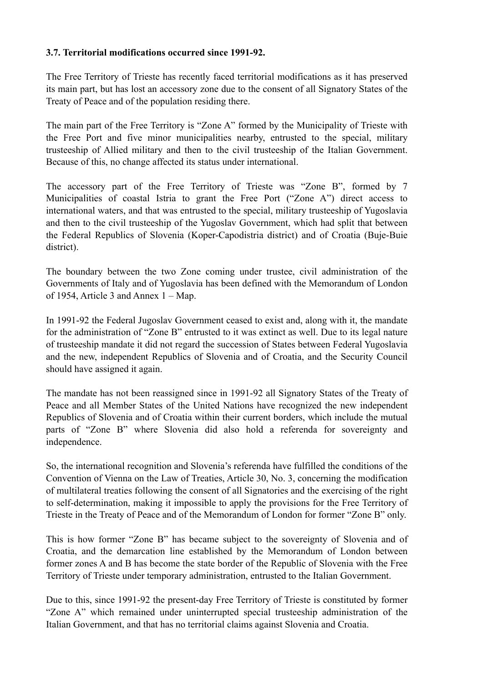### **3.7. Territorial modifications occurred since 1991-92.**

The Free Territory of Trieste has recently faced territorial modifications as it has preserved its main part, but has lost an accessory zone due to the consent of all Signatory States of the Treaty of Peace and of the population residing there.

The main part of the Free Territory is "Zone A" formed by the Municipality of Trieste with the Free Port and five minor municipalities nearby, entrusted to the special, military trusteeship of Allied military and then to the civil trusteeship of the Italian Government. Because of this, no change affected its status under international.

The accessory part of the Free Territory of Trieste was "Zone B", formed by 7 Municipalities of coastal Istria to grant the Free Port ("Zone A") direct access to international waters, and that was entrusted to the special, military trusteeship of Yugoslavia and then to the civil trusteeship of the Yugoslav Government, which had split that between the Federal Republics of Slovenia (Koper-Capodistria district) and of Croatia (Buje-Buie district).

The boundary between the two Zone coming under trustee, civil administration of the Governments of Italy and of Yugoslavia has been defined with the Memorandum of London of 1954, Article 3 and Annex 1 – Map.

In 1991-92 the Federal Jugoslav Government ceased to exist and, along with it, the mandate for the administration of "Zone B" entrusted to it was extinct as well. Due to its legal nature of trusteeship mandate it did not regard the succession of States between Federal Yugoslavia and the new, independent Republics of Slovenia and of Croatia, and the Security Council should have assigned it again.

The mandate has not been reassigned since in 1991-92 all Signatory States of the Treaty of Peace and all Member States of the United Nations have recognized the new independent Republics of Slovenia and of Croatia within their current borders, which include the mutual parts of "Zone B" where Slovenia did also hold a referenda for sovereignty and independence.

So, the international recognition and Slovenia's referenda have fulfilled the conditions of the Convention of Vienna on the Law of Treaties, Article 30, No. 3, concerning the modification of multilateral treaties following the consent of all Signatories and the exercising of the right to self-determination, making it impossible to apply the provisions for the Free Territory of Trieste in the Treaty of Peace and of the Memorandum of London for former "Zone B" only.

This is how former "Zone B" has became subject to the sovereignty of Slovenia and of Croatia, and the demarcation line established by the Memorandum of London between former zones A and B has become the state border of the Republic of Slovenia with the Free Territory of Trieste under temporary administration, entrusted to the Italian Government.

Due to this, since 1991-92 the present-day Free Territory of Trieste is constituted by former "Zone A" which remained under uninterrupted special trusteeship administration of the Italian Government, and that has no territorial claims against Slovenia and Croatia.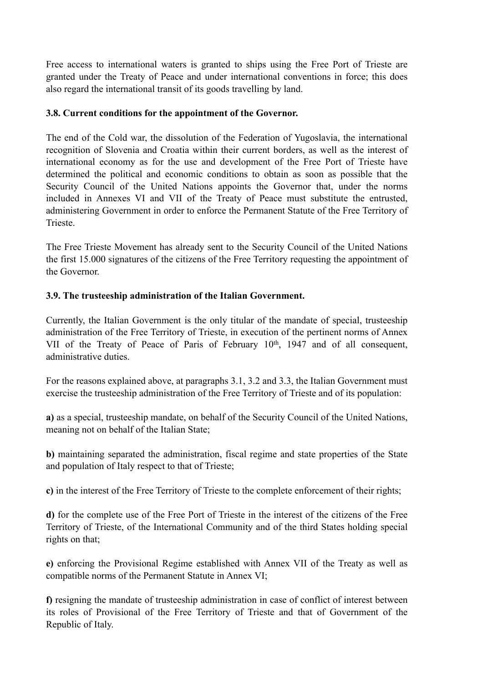Free access to international waters is granted to ships using the Free Port of Trieste are granted under the Treaty of Peace and under international conventions in force; this does also regard the international transit of its goods travelling by land.

### **3.8. Current conditions for the appointment of the Governor.**

The end of the Cold war, the dissolution of the Federation of Yugoslavia, the international recognition of Slovenia and Croatia within their current borders, as well as the interest of international economy as for the use and development of the Free Port of Trieste have determined the political and economic conditions to obtain as soon as possible that the Security Council of the United Nations appoints the Governor that, under the norms included in Annexes VI and VII of the Treaty of Peace must substitute the entrusted, administering Government in order to enforce the Permanent Statute of the Free Territory of Trieste.

The Free Trieste Movement has already sent to the Security Council of the United Nations the first 15.000 signatures of the citizens of the Free Territory requesting the appointment of the Governor.

## **3.9. The trusteeship administration of the Italian Government.**

Currently, the Italian Government is the only titular of the mandate of special, trusteeship administration of the Free Territory of Trieste, in execution of the pertinent norms of Annex VII of the Treaty of Peace of Paris of February 10<sup>th</sup>, 1947 and of all consequent, administrative duties.

For the reasons explained above, at paragraphs 3.1, 3.2 and 3.3, the Italian Government must exercise the trusteeship administration of the Free Territory of Trieste and of its population:

**a)** as a special, trusteeship mandate, on behalf of the Security Council of the United Nations, meaning not on behalf of the Italian State;

**b)** maintaining separated the administration, fiscal regime and state properties of the State and population of Italy respect to that of Trieste;

**c)** in the interest of the Free Territory of Trieste to the complete enforcement of their rights;

**d)** for the complete use of the Free Port of Trieste in the interest of the citizens of the Free Territory of Trieste, of the International Community and of the third States holding special rights on that;

**e)** enforcing the Provisional Regime established with Annex VII of the Treaty as well as compatible norms of the Permanent Statute in Annex VI;

**f)** resigning the mandate of trusteeship administration in case of conflict of interest between its roles of Provisional of the Free Territory of Trieste and that of Government of the Republic of Italy.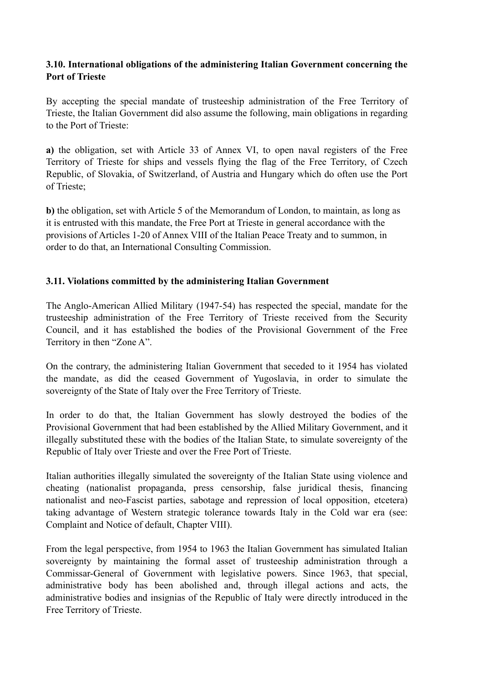## **3.10. International obligations of the administering Italian Government concerning the Port of Trieste**

By accepting the special mandate of trusteeship administration of the Free Territory of Trieste, the Italian Government did also assume the following, main obligations in regarding to the Port of Trieste:

**a)** the obligation, set with Article 33 of Annex VI, to open naval registers of the Free Territory of Trieste for ships and vessels flying the flag of the Free Territory, of Czech Republic, of Slovakia, of Switzerland, of Austria and Hungary which do often use the Port of Trieste;

**b)** the obligation, set with Article 5 of the Memorandum of London, to maintain, as long as it is entrusted with this mandate, the Free Port at Trieste in general accordance with the provisions of Articles 1-20 of Annex VIII of the Italian Peace Treaty and to summon, in order to do that, an International Consulting Commission.

### **3.11. Violations committed by the administering Italian Government**

The Anglo-American Allied Military (1947-54) has respected the special, mandate for the trusteeship administration of the Free Territory of Trieste received from the Security Council, and it has established the bodies of the Provisional Government of the Free Territory in then "Zone A".

On the contrary, the administering Italian Government that seceded to it 1954 has violated the mandate, as did the ceased Government of Yugoslavia, in order to simulate the sovereignty of the State of Italy over the Free Territory of Trieste.

In order to do that, the Italian Government has slowly destroyed the bodies of the Provisional Government that had been established by the Allied Military Government, and it illegally substituted these with the bodies of the Italian State, to simulate sovereignty of the Republic of Italy over Trieste and over the Free Port of Trieste.

Italian authorities illegally simulated the sovereignty of the Italian State using violence and cheating (nationalist propaganda, press censorship, false juridical thesis, financing nationalist and neo-Fascist parties, sabotage and repression of local opposition, etcetera) taking advantage of Western strategic tolerance towards Italy in the Cold war era (see: Complaint and Notice of default, Chapter VIII).

From the legal perspective, from 1954 to 1963 the Italian Government has simulated Italian sovereignty by maintaining the formal asset of trusteeship administration through a Commissar-General of Government with legislative powers. Since 1963, that special, administrative body has been abolished and, through illegal actions and acts, the administrative bodies and insignias of the Republic of Italy were directly introduced in the Free Territory of Trieste.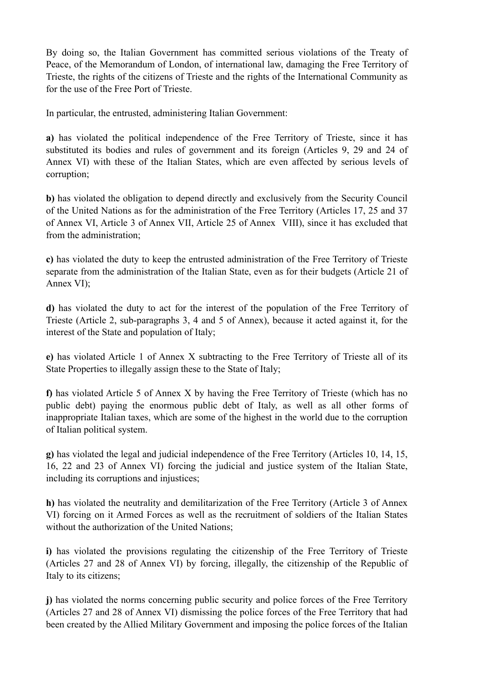By doing so, the Italian Government has committed serious violations of the Treaty of Peace, of the Memorandum of London, of international law, damaging the Free Territory of Trieste, the rights of the citizens of Trieste and the rights of the International Community as for the use of the Free Port of Trieste.

In particular, the entrusted, administering Italian Government:

**a)** has violated the political independence of the Free Territory of Trieste, since it has substituted its bodies and rules of government and its foreign (Articles 9, 29 and 24 of Annex VI) with these of the Italian States, which are even affected by serious levels of corruption;

**b)** has violated the obligation to depend directly and exclusively from the Security Council of the United Nations as for the administration of the Free Territory (Articles 17, 25 and 37 of Annex VI, Article 3 of Annex VII, Article 25 of Annex VIII), since it has excluded that from the administration;

**c)** has violated the duty to keep the entrusted administration of the Free Territory of Trieste separate from the administration of the Italian State, even as for their budgets (Article 21 of Annex VI);

**d)** has violated the duty to act for the interest of the population of the Free Territory of Trieste (Article 2, sub-paragraphs 3, 4 and 5 of Annex), because it acted against it, for the interest of the State and population of Italy;

**e)** has violated Article 1 of Annex X subtracting to the Free Territory of Trieste all of its State Properties to illegally assign these to the State of Italy;

**f)** has violated Article 5 of Annex X by having the Free Territory of Trieste (which has no public debt) paying the enormous public debt of Italy, as well as all other forms of inappropriate Italian taxes, which are some of the highest in the world due to the corruption of Italian political system.

**g)** has violated the legal and judicial independence of the Free Territory (Articles 10, 14, 15, 16, 22 and 23 of Annex VI) forcing the judicial and justice system of the Italian State, including its corruptions and injustices;

**h)** has violated the neutrality and demilitarization of the Free Territory (Article 3 of Annex VI) forcing on it Armed Forces as well as the recruitment of soldiers of the Italian States without the authorization of the United Nations;

**i)** has violated the provisions regulating the citizenship of the Free Territory of Trieste (Articles 27 and 28 of Annex VI) by forcing, illegally, the citizenship of the Republic of Italy to its citizens;

**j)** has violated the norms concerning public security and police forces of the Free Territory (Articles 27 and 28 of Annex VI) dismissing the police forces of the Free Territory that had been created by the Allied Military Government and imposing the police forces of the Italian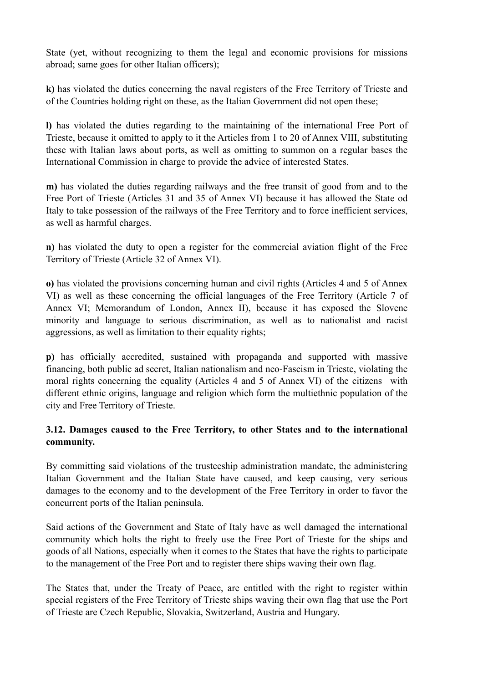State (yet, without recognizing to them the legal and economic provisions for missions abroad; same goes for other Italian officers);

**k)** has violated the duties concerning the naval registers of the Free Territory of Trieste and of the Countries holding right on these, as the Italian Government did not open these;

**l)** has violated the duties regarding to the maintaining of the international Free Port of Trieste, because it omitted to apply to it the Articles from 1 to 20 of Annex VIII, substituting these with Italian laws about ports, as well as omitting to summon on a regular bases the International Commission in charge to provide the advice of interested States.

**m)** has violated the duties regarding railways and the free transit of good from and to the Free Port of Trieste (Articles 31 and 35 of Annex VI) because it has allowed the State od Italy to take possession of the railways of the Free Territory and to force inefficient services, as well as harmful charges.

**n)** has violated the duty to open a register for the commercial aviation flight of the Free Territory of Trieste (Article 32 of Annex VI).

**o)** has violated the provisions concerning human and civil rights (Articles 4 and 5 of Annex VI) as well as these concerning the official languages of the Free Territory (Article 7 of Annex VI; Memorandum of London, Annex II), because it has exposed the Slovene minority and language to serious discrimination, as well as to nationalist and racist aggressions, as well as limitation to their equality rights;

**p)** has officially accredited, sustained with propaganda and supported with massive financing, both public ad secret, Italian nationalism and neo-Fascism in Trieste, violating the moral rights concerning the equality (Articles 4 and 5 of Annex VI) of the citizens with different ethnic origins, language and religion which form the multiethnic population of the city and Free Territory of Trieste.

## **3.12. Damages caused to the Free Territory, to other States and to the international community.**

By committing said violations of the trusteeship administration mandate, the administering Italian Government and the Italian State have caused, and keep causing, very serious damages to the economy and to the development of the Free Territory in order to favor the concurrent ports of the Italian peninsula.

Said actions of the Government and State of Italy have as well damaged the international community which holts the right to freely use the Free Port of Trieste for the ships and goods of all Nations, especially when it comes to the States that have the rights to participate to the management of the Free Port and to register there ships waving their own flag.

The States that, under the Treaty of Peace, are entitled with the right to register within special registers of the Free Territory of Trieste ships waving their own flag that use the Port of Trieste are Czech Republic, Slovakia, Switzerland, Austria and Hungary.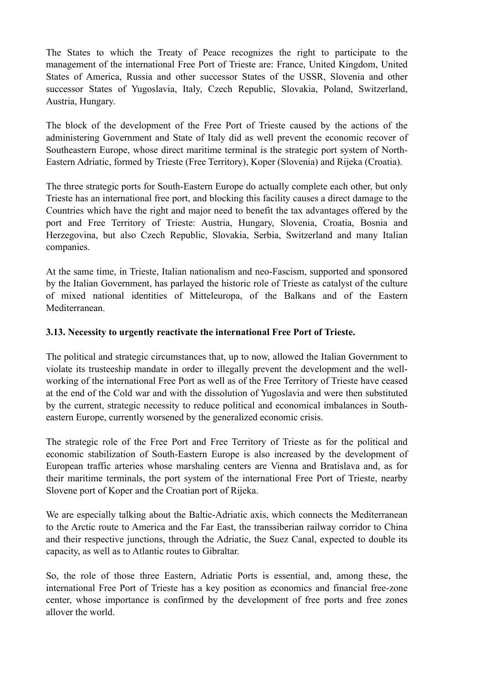The States to which the Treaty of Peace recognizes the right to participate to the management of the international Free Port of Trieste are: France, United Kingdom, United States of America, Russia and other successor States of the USSR, Slovenia and other successor States of Yugoslavia, Italy, Czech Republic, Slovakia, Poland, Switzerland, Austria, Hungary.

The block of the development of the Free Port of Trieste caused by the actions of the administering Government and State of Italy did as well prevent the economic recover of Southeastern Europe, whose direct maritime terminal is the strategic port system of North-Eastern Adriatic, formed by Trieste (Free Territory), Koper (Slovenia) and Rijeka (Croatia).

The three strategic ports for South-Eastern Europe do actually complete each other, but only Trieste has an international free port, and blocking this facility causes a direct damage to the Countries which have the right and major need to benefit the tax advantages offered by the port and Free Territory of Trieste: Austria, Hungary, Slovenia, Croatia, Bosnia and Herzegovina, but also Czech Republic, Slovakia, Serbia, Switzerland and many Italian companies.

At the same time, in Trieste, Italian nationalism and neo-Fascism, supported and sponsored by the Italian Government, has parlayed the historic role of Trieste as catalyst of the culture of mixed national identities of Mitteleuropa, of the Balkans and of the Eastern Mediterranean.

### **3.13. Necessity to urgently reactivate the international Free Port of Trieste.**

The political and strategic circumstances that, up to now, allowed the Italian Government to violate its trusteeship mandate in order to illegally prevent the development and the wellworking of the international Free Port as well as of the Free Territory of Trieste have ceased at the end of the Cold war and with the dissolution of Yugoslavia and were then substituted by the current, strategic necessity to reduce political and economical imbalances in Southeastern Europe, currently worsened by the generalized economic crisis.

The strategic role of the Free Port and Free Territory of Trieste as for the political and economic stabilization of South-Eastern Europe is also increased by the development of European traffic arteries whose marshaling centers are Vienna and Bratislava and, as for their maritime terminals, the port system of the international Free Port of Trieste, nearby Slovene port of Koper and the Croatian port of Rijeka.

We are especially talking about the Baltic-Adriatic axis, which connects the Mediterranean to the Arctic route to America and the Far East, the transsiberian railway corridor to China and their respective junctions, through the Adriatic, the Suez Canal, expected to double its capacity, as well as to Atlantic routes to Gibraltar.

So, the role of those three Eastern, Adriatic Ports is essential, and, among these, the international Free Port of Trieste has a key position as economics and financial free-zone center, whose importance is confirmed by the development of free ports and free zones allover the world.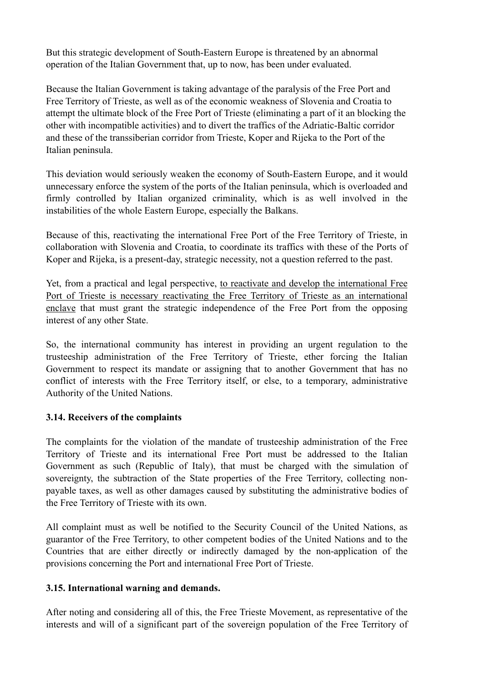But this strategic development of South-Eastern Europe is threatened by an abnormal operation of the Italian Government that, up to now, has been under evaluated.

Because the Italian Government is taking advantage of the paralysis of the Free Port and Free Territory of Trieste, as well as of the economic weakness of Slovenia and Croatia to attempt the ultimate block of the Free Port of Trieste (eliminating a part of it an blocking the other with incompatible activities) and to divert the traffics of the Adriatic-Baltic corridor and these of the transsiberian corridor from Trieste, Koper and Rijeka to the Port of the Italian peninsula.

This deviation would seriously weaken the economy of South-Eastern Europe, and it would unnecessary enforce the system of the ports of the Italian peninsula, which is overloaded and firmly controlled by Italian organized criminality, which is as well involved in the instabilities of the whole Eastern Europe, especially the Balkans.

Because of this, reactivating the international Free Port of the Free Territory of Trieste, in collaboration with Slovenia and Croatia, to coordinate its traffics with these of the Ports of Koper and Rijeka, is a present-day, strategic necessity, not a question referred to the past.

Yet, from a practical and legal perspective, to reactivate and develop the international Free Port of Trieste is necessary reactivating the Free Territory of Trieste as an international enclave that must grant the strategic independence of the Free Port from the opposing interest of any other State.

So, the international community has interest in providing an urgent regulation to the trusteeship administration of the Free Territory of Trieste, ether forcing the Italian Government to respect its mandate or assigning that to another Government that has no conflict of interests with the Free Territory itself, or else, to a temporary, administrative Authority of the United Nations.

### **3.14. Receivers of the complaints**

The complaints for the violation of the mandate of trusteeship administration of the Free Territory of Trieste and its international Free Port must be addressed to the Italian Government as such (Republic of Italy), that must be charged with the simulation of sovereignty, the subtraction of the State properties of the Free Territory, collecting nonpayable taxes, as well as other damages caused by substituting the administrative bodies of the Free Territory of Trieste with its own.

All complaint must as well be notified to the Security Council of the United Nations, as guarantor of the Free Territory, to other competent bodies of the United Nations and to the Countries that are either directly or indirectly damaged by the non-application of the provisions concerning the Port and international Free Port of Trieste.

## **3.15. International warning and demands.**

After noting and considering all of this, the Free Trieste Movement, as representative of the interests and will of a significant part of the sovereign population of the Free Territory of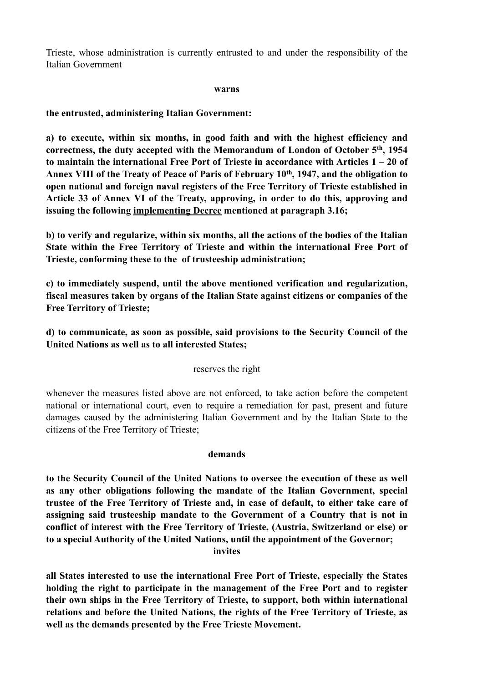Trieste, whose administration is currently entrusted to and under the responsibility of the Italian Government

#### **warns**

**the entrusted, administering Italian Government:** 

**a) to execute, within six months, in good faith and with the highest efficiency and correctness, the duty accepted with the Memorandum of London of October 5th, 1954 to maintain the international Free Port of Trieste in accordance with Articles 1 – 20 of Annex VIII of the Treaty of Peace of Paris of February 10th, 1947, and the obligation to open national and foreign naval registers of the Free Territory of Trieste established in Article 33 of Annex VI of the Treaty, approving, in order to do this, approving and issuing the following implementing Decree mentioned at paragraph 3.16;** 

**b) to verify and regularize, within six months, all the actions of the bodies of the Italian State within the Free Territory of Trieste and within the international Free Port of Trieste, conforming these to the of trusteeship administration;** 

**c) to immediately suspend, until the above mentioned verification and regularization, fiscal measures taken by organs of the Italian State against citizens or companies of the Free Territory of Trieste;** 

**d) to communicate, as soon as possible, said provisions to the Security Council of the United Nations as well as to all interested States;** 

#### reserves the right

whenever the measures listed above are not enforced, to take action before the competent national or international court, even to require a remediation for past, present and future damages caused by the administering Italian Government and by the Italian State to the citizens of the Free Territory of Trieste;

#### **demands**

**to the Security Council of the United Nations to oversee the execution of these as well as any other obligations following the mandate of the Italian Government, special trustee of the Free Territory of Trieste and, in case of default, to either take care of assigning said trusteeship mandate to the Government of a Country that is not in conflict of interest with the Free Territory of Trieste, (Austria, Switzerland or else) or to a special Authority of the United Nations, until the appointment of the Governor; invites** 

**all States interested to use the international Free Port of Trieste, especially the States holding the right to participate in the management of the Free Port and to register their own ships in the Free Territory of Trieste, to support, both within international relations and before the United Nations, the rights of the Free Territory of Trieste, as well as the demands presented by the Free Trieste Movement.**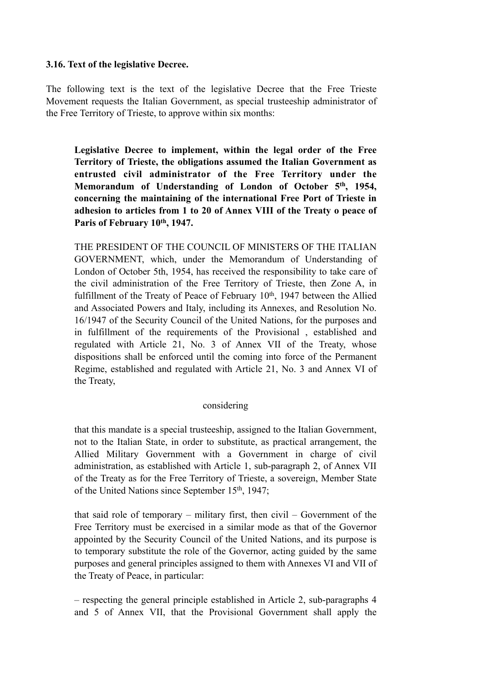#### **3.16. Text of the legislative Decree.**

The following text is the text of the legislative Decree that the Free Trieste Movement requests the Italian Government, as special trusteeship administrator of the Free Territory of Trieste, to approve within six months:

**Legislative Decree to implement, within the legal order of the Free Territory of Trieste, the obligations assumed the Italian Government as entrusted civil administrator of the Free Territory under the Memorandum of Understanding of London of October 5th, 1954, concerning the maintaining of the international Free Port of Trieste in adhesion to articles from 1 to 20 of Annex VIII of the Treaty o peace of**  Paris of February 10<sup>th</sup>, 1947.

THE PRESIDENT OF THE COUNCIL OF MINISTERS OF THE ITALIAN GOVERNMENT, which, under the Memorandum of Understanding of London of October 5th, 1954, has received the responsibility to take care of the civil administration of the Free Territory of Trieste, then Zone A, in fulfillment of the Treaty of Peace of February  $10<sup>th</sup>$ , 1947 between the Allied and Associated Powers and Italy, including its Annexes, and Resolution No. 16/1947 of the Security Council of the United Nations, for the purposes and in fulfillment of the requirements of the Provisional , established and regulated with Article 21, No. 3 of Annex VII of the Treaty, whose dispositions shall be enforced until the coming into force of the Permanent Regime, established and regulated with Article 21, No. 3 and Annex VI of the Treaty,

#### considering

that this mandate is a special trusteeship, assigned to the Italian Government, not to the Italian State, in order to substitute, as practical arrangement, the Allied Military Government with a Government in charge of civil administration, as established with Article 1, sub-paragraph 2, of Annex VII of the Treaty as for the Free Territory of Trieste, a sovereign, Member State of the United Nations since September 15th, 1947;

that said role of temporary – military first, then civil – Government of the Free Territory must be exercised in a similar mode as that of the Governor appointed by the Security Council of the United Nations, and its purpose is to temporary substitute the role of the Governor, acting guided by the same purposes and general principles assigned to them with Annexes VI and VII of the Treaty of Peace, in particular:

– respecting the general principle established in Article 2, sub-paragraphs 4 and 5 of Annex VII, that the Provisional Government shall apply the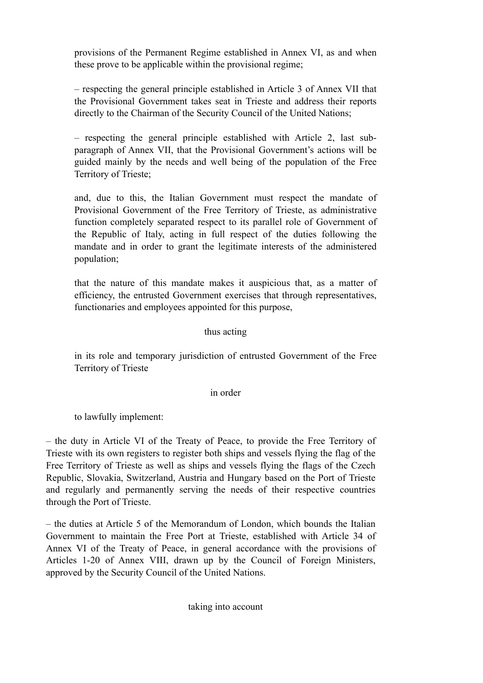provisions of the Permanent Regime established in Annex VI, as and when these prove to be applicable within the provisional regime;

– respecting the general principle established in Article 3 of Annex VII that the Provisional Government takes seat in Trieste and address their reports directly to the Chairman of the Security Council of the United Nations;

– respecting the general principle established with Article 2, last subparagraph of Annex VII, that the Provisional Government's actions will be guided mainly by the needs and well being of the population of the Free Territory of Trieste;

and, due to this, the Italian Government must respect the mandate of Provisional Government of the Free Territory of Trieste, as administrative function completely separated respect to its parallel role of Government of the Republic of Italy, acting in full respect of the duties following the mandate and in order to grant the legitimate interests of the administered population;

that the nature of this mandate makes it auspicious that, as a matter of efficiency, the entrusted Government exercises that through representatives, functionaries and employees appointed for this purpose,

### thus acting

in its role and temporary jurisdiction of entrusted Government of the Free Territory of Trieste

#### in order

to lawfully implement:

– the duty in Article VI of the Treaty of Peace, to provide the Free Territory of Trieste with its own registers to register both ships and vessels flying the flag of the Free Territory of Trieste as well as ships and vessels flying the flags of the Czech Republic, Slovakia, Switzerland, Austria and Hungary based on the Port of Trieste and regularly and permanently serving the needs of their respective countries through the Port of Trieste.

– the duties at Article 5 of the Memorandum of London, which bounds the Italian Government to maintain the Free Port at Trieste, established with Article 34 of Annex VI of the Treaty of Peace, in general accordance with the provisions of Articles 1-20 of Annex VIII, drawn up by the Council of Foreign Ministers, approved by the Security Council of the United Nations.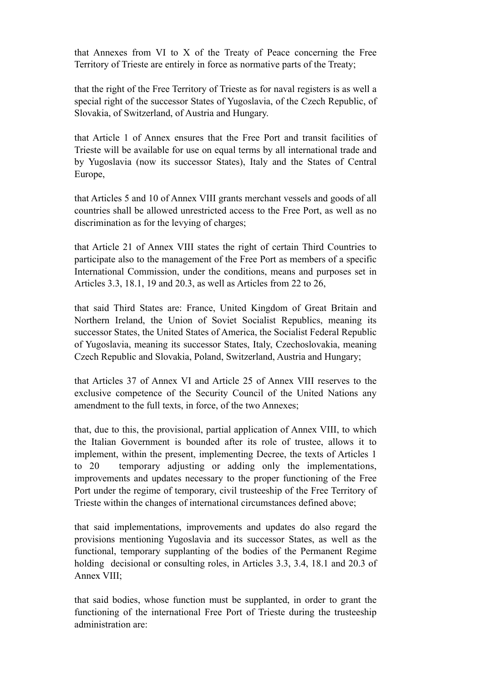that Annexes from VI to X of the Treaty of Peace concerning the Free Territory of Trieste are entirely in force as normative parts of the Treaty;

that the right of the Free Territory of Trieste as for naval registers is as well a special right of the successor States of Yugoslavia, of the Czech Republic, of Slovakia, of Switzerland, of Austria and Hungary.

that Article 1 of Annex ensures that the Free Port and transit facilities of Trieste will be available for use on equal terms by all international trade and by Yugoslavia (now its successor States), Italy and the States of Central Europe,

that Articles 5 and 10 of Annex VIII grants merchant vessels and goods of all countries shall be allowed unrestricted access to the Free Port, as well as no discrimination as for the levying of charges;

that Article 21 of Annex VIII states the right of certain Third Countries to participate also to the management of the Free Port as members of a specific International Commission, under the conditions, means and purposes set in Articles 3.3, 18.1, 19 and 20.3, as well as Articles from 22 to 26,

that said Third States are: France, United Kingdom of Great Britain and Northern Ireland, the Union of Soviet Socialist Republics, meaning its successor States, the United States of America, the Socialist Federal Republic of Yugoslavia, meaning its successor States, Italy, Czechoslovakia, meaning Czech Republic and Slovakia, Poland, Switzerland, Austria and Hungary;

that Articles 37 of Annex VI and Article 25 of Annex VIII reserves to the exclusive competence of the Security Council of the United Nations any amendment to the full texts, in force, of the two Annexes;

that, due to this, the provisional, partial application of Annex VIII, to which the Italian Government is bounded after its role of trustee, allows it to implement, within the present, implementing Decree, the texts of Articles 1 to 20 temporary adjusting or adding only the implementations, improvements and updates necessary to the proper functioning of the Free Port under the regime of temporary, civil trusteeship of the Free Territory of Trieste within the changes of international circumstances defined above;

that said implementations, improvements and updates do also regard the provisions mentioning Yugoslavia and its successor States, as well as the functional, temporary supplanting of the bodies of the Permanent Regime holding decisional or consulting roles, in Articles 3.3, 3.4, 18.1 and 20.3 of Annex VIII;

that said bodies, whose function must be supplanted, in order to grant the functioning of the international Free Port of Trieste during the trusteeship administration are: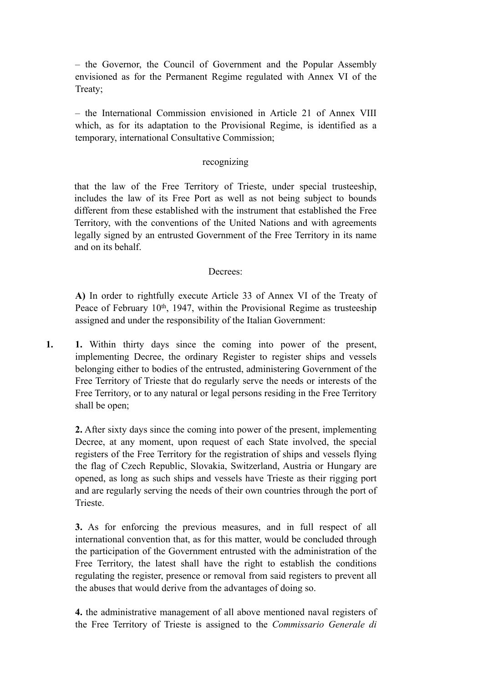– the Governor, the Council of Government and the Popular Assembly envisioned as for the Permanent Regime regulated with Annex VI of the Treaty;

– the International Commission envisioned in Article 21 of Annex VIII which, as for its adaptation to the Provisional Regime, is identified as a temporary, international Consultative Commission;

#### recognizing

that the law of the Free Territory of Trieste, under special trusteeship, includes the law of its Free Port as well as not being subject to bounds different from these established with the instrument that established the Free Territory, with the conventions of the United Nations and with agreements legally signed by an entrusted Government of the Free Territory in its name and on its behalf.

#### Decrees:

**A)** In order to rightfully execute Article 33 of Annex VI of the Treaty of Peace of February 10<sup>th</sup>, 1947, within the Provisional Regime as trusteeship assigned and under the responsibility of the Italian Government:

**1. 1.** Within thirty days since the coming into power of the present, implementing Decree, the ordinary Register to register ships and vessels belonging either to bodies of the entrusted, administering Government of the Free Territory of Trieste that do regularly serve the needs or interests of the Free Territory, or to any natural or legal persons residing in the Free Territory shall be open;

**2.** After sixty days since the coming into power of the present, implementing Decree, at any moment, upon request of each State involved, the special registers of the Free Territory for the registration of ships and vessels flying the flag of Czech Republic, Slovakia, Switzerland, Austria or Hungary are opened, as long as such ships and vessels have Trieste as their rigging port and are regularly serving the needs of their own countries through the port of Trieste.

**3.** As for enforcing the previous measures, and in full respect of all international convention that, as for this matter, would be concluded through the participation of the Government entrusted with the administration of the Free Territory, the latest shall have the right to establish the conditions regulating the register, presence or removal from said registers to prevent all the abuses that would derive from the advantages of doing so.

**4.** the administrative management of all above mentioned naval registers of the Free Territory of Trieste is assigned to the *Commissario Generale di*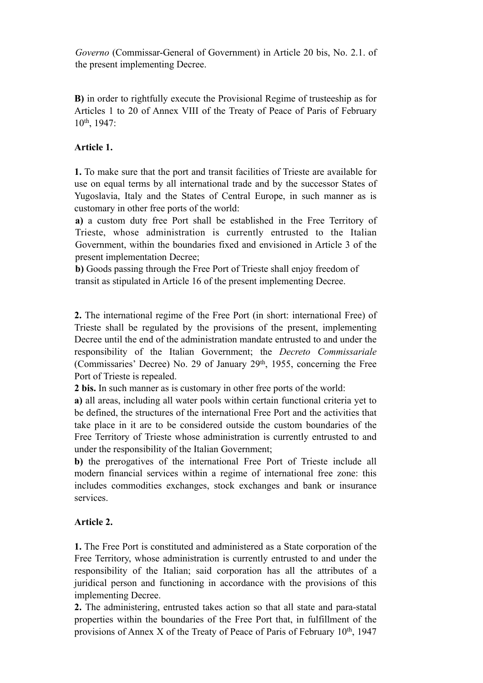*Governo* (Commissar-General of Government) in Article 20 bis, No. 2.1. of the present implementing Decree.

**B)** in order to rightfully execute the Provisional Regime of trusteeship as for Articles 1 to 20 of Annex VIII of the Treaty of Peace of Paris of February 10th, 1947:

### **Article 1.**

**1.** To make sure that the port and transit facilities of Trieste are available for use on equal terms by all international trade and by the successor States of Yugoslavia, Italy and the States of Central Europe, in such manner as is customary in other free ports of the world:

**a)** a custom duty free Port shall be established in the Free Territory of Trieste, whose administration is currently entrusted to the Italian Government, within the boundaries fixed and envisioned in Article 3 of the present implementation Decree;

**b)** Goods passing through the Free Port of Trieste shall enjoy freedom of transit as stipulated in Article 16 of the present implementing Decree.

**2.** The international regime of the Free Port (in short: international Free) of Trieste shall be regulated by the provisions of the present, implementing Decree until the end of the administration mandate entrusted to and under the responsibility of the Italian Government; the *Decreto Commissariale* (Commissaries' Decree) No. 29 of January 29th, 1955, concerning the Free Port of Trieste is repealed.

**2 bis.** In such manner as is customary in other free ports of the world:

**a)** all areas, including all water pools within certain functional criteria yet to be defined, the structures of the international Free Port and the activities that take place in it are to be considered outside the custom boundaries of the Free Territory of Trieste whose administration is currently entrusted to and under the responsibility of the Italian Government;

**b)** the prerogatives of the international Free Port of Trieste include all modern financial services within a regime of international free zone: this includes commodities exchanges, stock exchanges and bank or insurance services.

## **Article 2.**

**1.** The Free Port is constituted and administered as a State corporation of the Free Territory, whose administration is currently entrusted to and under the responsibility of the Italian; said corporation has all the attributes of a juridical person and functioning in accordance with the provisions of this implementing Decree.

**2.** The administering, entrusted takes action so that all state and para-statal properties within the boundaries of the Free Port that, in fulfillment of the provisions of Annex X of the Treaty of Peace of Paris of February  $10<sup>th</sup>$ , 1947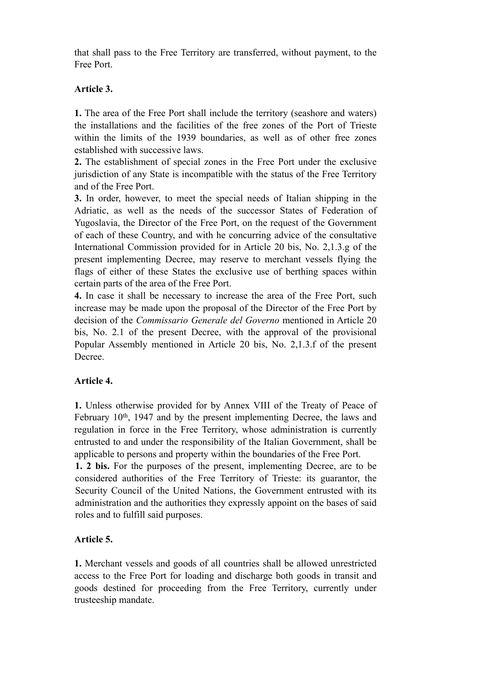that shall pass to the Free Territory are transferred, without payment, to the Free Port.

### **Article 3.**

**1.** The area of the Free Port shall include the territory (seashore and waters) the installations and the facilities of the free zones of the Port of Trieste within the limits of the 1939 boundaries, as well as of other free zones established with successive laws.

**2.** The establishment of special zones in the Free Port under the exclusive jurisdiction of any State is incompatible with the status of the Free Territory and of the Free Port.

**3.** In order, however, to meet the special needs of Italian shipping in the Adriatic, as well as the needs of the successor States of Federation of Yugoslavia, the Director of the Free Port, on the request of the Government of each of these Country, and with he concurring advice of the consultative International Commission provided for in Article 20 bis, No. 2,1.3.g of the present implementing Decree, may reserve to merchant vessels flying the flags of either of these States the exclusive use of berthing spaces within certain parts of the area of the Free Port.

**4.** In case it shall be necessary to increase the area of the Free Port, such increase may be made upon the proposal of the Director of the Free Port by decision of the *Commissario Generale del Governo* mentioned in Article 20 bis, No. 2.1 of the present Decree, with the approval of the provisional Popular Assembly mentioned in Article 20 bis, No. 2,1.3.f of the present Decree.

### **Article 4.**

**1.** Unless otherwise provided for by Annex VIII of the Treaty of Peace of February 10<sup>th</sup>, 1947 and by the present implementing Decree, the laws and regulation in force in the Free Territory, whose administration is currently entrusted to and under the responsibility of the Italian Government, shall be applicable to persons and property within the boundaries of the Free Port.

**1. 2 bis.** For the purposes of the present, implementing Decree, are to be considered authorities of the Free Territory of Trieste: its guarantor, the Security Council of the United Nations, the Government entrusted with its administration and the authorities they expressly appoint on the bases of said roles and to fulfill said purposes.

### **Article 5.**

**1.** Merchant vessels and goods of all countries shall be allowed unrestricted access to the Free Port for loading and discharge both goods in transit and goods destined for proceeding from the Free Territory, currently under trusteeship mandate.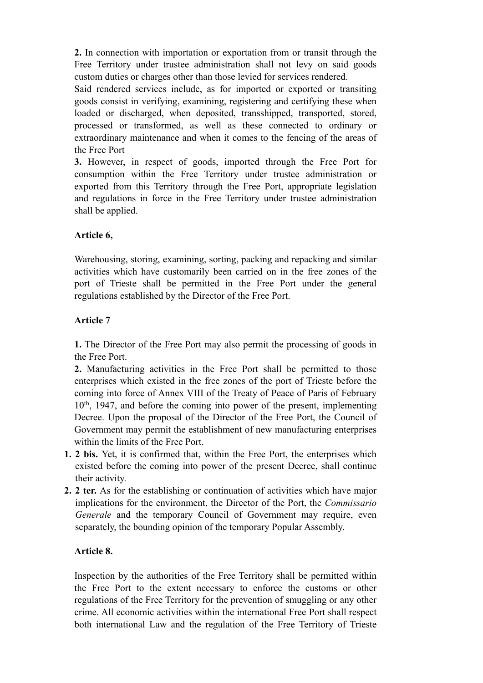**2.** In connection with importation or exportation from or transit through the Free Territory under trustee administration shall not levy on said goods custom duties or charges other than those levied for services rendered.

Said rendered services include, as for imported or exported or transiting goods consist in verifying, examining, registering and certifying these when loaded or discharged, when deposited, transshipped, transported, stored, processed or transformed, as well as these connected to ordinary or extraordinary maintenance and when it comes to the fencing of the areas of the Free Port

**3.** However, in respect of goods, imported through the Free Port for consumption within the Free Territory under trustee administration or exported from this Territory through the Free Port, appropriate legislation and regulations in force in the Free Territory under trustee administration shall be applied.

## **Article 6,**

Warehousing, storing, examining, sorting, packing and repacking and similar activities which have customarily been carried on in the free zones of the port of Trieste shall be permitted in the Free Port under the general regulations established by the Director of the Free Port.

# **Article 7**

**1.** The Director of the Free Port may also permit the processing of goods in the Free Port.

**2.** Manufacturing activities in the Free Port shall be permitted to those enterprises which existed in the free zones of the port of Trieste before the coming into force of Annex VIII of the Treaty of Peace of Paris of February 10th, 1947, and before the coming into power of the present, implementing Decree. Upon the proposal of the Director of the Free Port, the Council of Government may permit the establishment of new manufacturing enterprises within the limits of the Free Port.

- **1. 2 bis.** Yet, it is confirmed that, within the Free Port, the enterprises which existed before the coming into power of the present Decree, shall continue their activity.
- **2. 2 ter.** As for the establishing or continuation of activities which have major implications for the environment, the Director of the Port, the *Commissario Generale* and the temporary Council of Government may require, even separately, the bounding opinion of the temporary Popular Assembly.

# **Article 8.**

Inspection by the authorities of the Free Territory shall be permitted within the Free Port to the extent necessary to enforce the customs or other regulations of the Free Territory for the prevention of smuggling or any other crime. All economic activities within the international Free Port shall respect both international Law and the regulation of the Free Territory of Trieste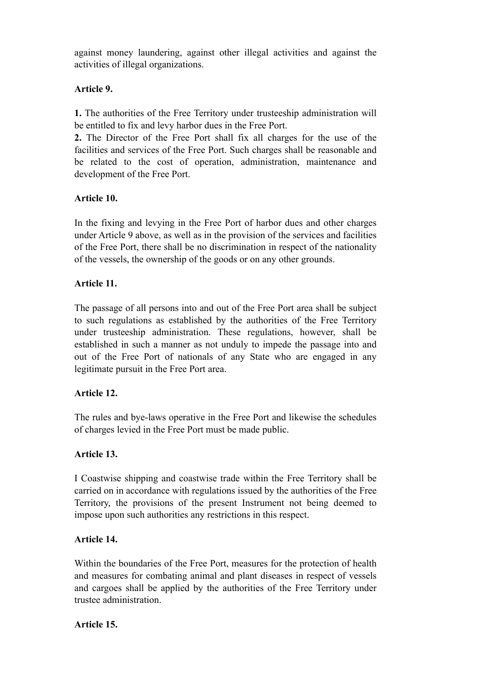against money laundering, against other illegal activities and against the activities of illegal organizations.

### **Article 9.**

**1.** The authorities of the Free Territory under trusteeship administration will be entitled to fix and levy harbor dues in the Free Port.

**2.** The Director of the Free Port shall fix all charges for the use of the facilities and services of the Free Port. Such charges shall be reasonable and be related to the cost of operation, administration, maintenance and development of the Free Port.

### **Article 10.**

In the fixing and levying in the Free Port of harbor dues and other charges under Article 9 above, as well as in the provision of the services and facilities of the Free Port, there shall be no discrimination in respect of the nationality of the vessels, the ownership of the goods or on any other grounds.

### **Article 11.**

The passage of all persons into and out of the Free Port area shall be subject to such regulations as established by the authorities of the Free Territory under trusteeship administration. These regulations, however, shall be established in such a manner as not unduly to impede the passage into and out of the Free Port of nationals of any State who are engaged in any legitimate pursuit in the Free Port area.

### **Article 12.**

The rules and bye-laws operative in the Free Port and likewise the schedules of charges levied in the Free Port must be made public.

### **Article 13.**

I Coastwise shipping and coastwise trade within the Free Territory shall be carried on in accordance with regulations issued by the authorities of the Free Territory, the provisions of the present Instrument not being deemed to impose upon such authorities any restrictions in this respect.

### **Article 14.**

Within the boundaries of the Free Port, measures for the protection of health and measures for combating animal and plant diseases in respect of vessels and cargoes shall be applied by the authorities of the Free Territory under trustee administration.

### **Article 15.**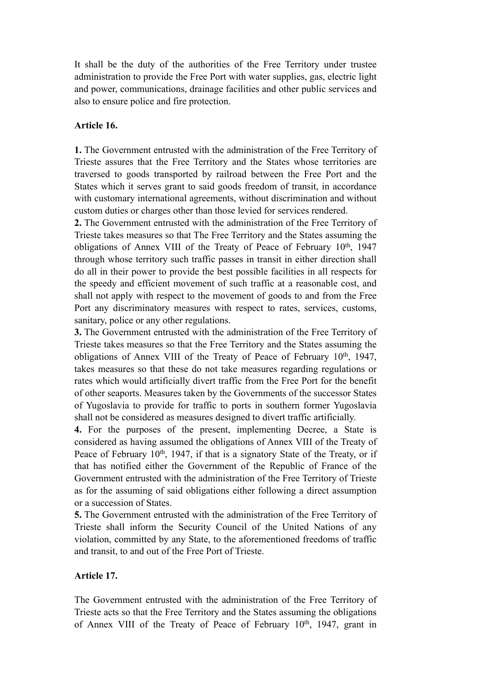It shall be the duty of the authorities of the Free Territory under trustee administration to provide the Free Port with water supplies, gas, electric light and power, communications, drainage facilities and other public services and also to ensure police and fire protection.

#### **Article 16.**

**1.** The Government entrusted with the administration of the Free Territory of Trieste assures that the Free Territory and the States whose territories are traversed to goods transported by railroad between the Free Port and the States which it serves grant to said goods freedom of transit, in accordance with customary international agreements, without discrimination and without custom duties or charges other than those levied for services rendered.

**2.** The Government entrusted with the administration of the Free Territory of Trieste takes measures so that The Free Territory and the States assuming the obligations of Annex VIII of the Treaty of Peace of February 10<sup>th</sup>, 1947 through whose territory such traffic passes in transit in either direction shall do all in their power to provide the best possible facilities in all respects for the speedy and efficient movement of such traffic at a reasonable cost, and shall not apply with respect to the movement of goods to and from the Free Port any discriminatory measures with respect to rates, services, customs, sanitary, police or any other regulations.

**3.** The Government entrusted with the administration of the Free Territory of Trieste takes measures so that the Free Territory and the States assuming the obligations of Annex VIII of the Treaty of Peace of February 10<sup>th</sup>, 1947, takes measures so that these do not take measures regarding regulations or rates which would artificially divert traffic from the Free Port for the benefit of other seaports. Measures taken by the Governments of the successor States of Yugoslavia to provide for traffic to ports in southern former Yugoslavia shall not be considered as measures designed to divert traffic artificially.

**4.** For the purposes of the present, implementing Decree, a State is considered as having assumed the obligations of Annex VIII of the Treaty of Peace of February  $10<sup>th</sup>$ , 1947, if that is a signatory State of the Treaty, or if that has notified either the Government of the Republic of France of the Government entrusted with the administration of the Free Territory of Trieste as for the assuming of said obligations either following a direct assumption or a succession of States.

**5.** The Government entrusted with the administration of the Free Territory of Trieste shall inform the Security Council of the United Nations of any violation, committed by any State, to the aforementioned freedoms of traffic and transit, to and out of the Free Port of Trieste.

#### **Article 17.**

The Government entrusted with the administration of the Free Territory of Trieste acts so that the Free Territory and the States assuming the obligations of Annex VIII of the Treaty of Peace of February  $10<sup>th</sup>$ , 1947, grant in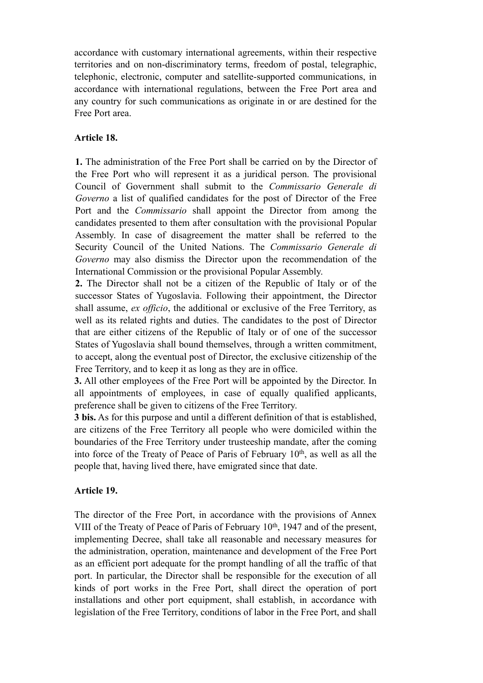accordance with customary international agreements, within their respective territories and on non-discriminatory terms, freedom of postal, telegraphic, telephonic, electronic, computer and satellite-supported communications, in accordance with international regulations, between the Free Port area and any country for such communications as originate in or are destined for the Free Port area.

### **Article 18.**

**1.** The administration of the Free Port shall be carried on by the Director of the Free Port who will represent it as a juridical person. The provisional Council of Government shall submit to the *Commissario Generale di Governo* a list of qualified candidates for the post of Director of the Free Port and the *Commissario* shall appoint the Director from among the candidates presented to them after consultation with the provisional Popular Assembly. In case of disagreement the matter shall be referred to the Security Council of the United Nations. The *Commissario Generale di Governo* may also dismiss the Director upon the recommendation of the International Commission or the provisional Popular Assembly.

**2.** The Director shall not be a citizen of the Republic of Italy or of the successor States of Yugoslavia. Following their appointment, the Director shall assume, *ex officio*, the additional or exclusive of the Free Territory, as well as its related rights and duties. The candidates to the post of Director that are either citizens of the Republic of Italy or of one of the successor States of Yugoslavia shall bound themselves, through a written commitment, to accept, along the eventual post of Director, the exclusive citizenship of the Free Territory, and to keep it as long as they are in office.

**3.** All other employees of the Free Port will be appointed by the Director. In all appointments of employees, in case of equally qualified applicants, preference shall be given to citizens of the Free Territory.

**3 bis.** As for this purpose and until a different definition of that is established, are citizens of the Free Territory all people who were domiciled within the boundaries of the Free Territory under trusteeship mandate, after the coming into force of the Treaty of Peace of Paris of February 10<sup>th</sup>, as well as all the people that, having lived there, have emigrated since that date.

### **Article 19.**

The director of the Free Port, in accordance with the provisions of Annex VIII of the Treaty of Peace of Paris of February 10<sup>th</sup>, 1947 and of the present, implementing Decree, shall take all reasonable and necessary measures for the administration, operation, maintenance and development of the Free Port as an efficient port adequate for the prompt handling of all the traffic of that port. In particular, the Director shall be responsible for the execution of all kinds of port works in the Free Port, shall direct the operation of port installations and other port equipment, shall establish, in accordance with legislation of the Free Territory, conditions of labor in the Free Port, and shall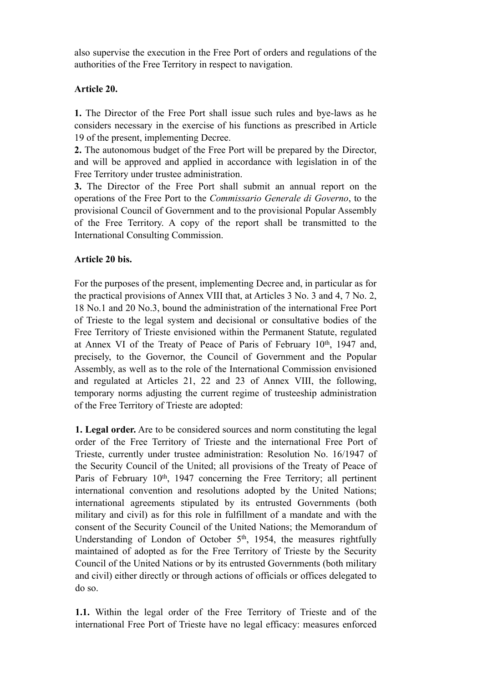also supervise the execution in the Free Port of orders and regulations of the authorities of the Free Territory in respect to navigation.

### **Article 20.**

**1.** The Director of the Free Port shall issue such rules and bye-laws as he considers necessary in the exercise of his functions as prescribed in Article 19 of the present, implementing Decree.

**2.** The autonomous budget of the Free Port will be prepared by the Director, and will be approved and applied in accordance with legislation in of the Free Territory under trustee administration.

**3.** The Director of the Free Port shall submit an annual report on the operations of the Free Port to the *Commissario Generale di Governo*, to the provisional Council of Government and to the provisional Popular Assembly of the Free Territory. A copy of the report shall be transmitted to the International Consulting Commission.

### **Article 20 bis.**

For the purposes of the present, implementing Decree and, in particular as for the practical provisions of Annex VIII that, at Articles 3 No. 3 and 4, 7 No. 2, 18 No.1 and 20 No.3, bound the administration of the international Free Port of Trieste to the legal system and decisional or consultative bodies of the Free Territory of Trieste envisioned within the Permanent Statute, regulated at Annex VI of the Treaty of Peace of Paris of February  $10<sup>th</sup>$ , 1947 and, precisely, to the Governor, the Council of Government and the Popular Assembly, as well as to the role of the International Commission envisioned and regulated at Articles 21, 22 and 23 of Annex VIII, the following, temporary norms adjusting the current regime of trusteeship administration of the Free Territory of Trieste are adopted:

**1. Legal order.** Are to be considered sources and norm constituting the legal order of the Free Territory of Trieste and the international Free Port of Trieste, currently under trustee administration: Resolution No. 16/1947 of the Security Council of the United; all provisions of the Treaty of Peace of Paris of February 10<sup>th</sup>, 1947 concerning the Free Territory; all pertinent international convention and resolutions adopted by the United Nations; international agreements stipulated by its entrusted Governments (both military and civil) as for this role in fulfillment of a mandate and with the consent of the Security Council of the United Nations; the Memorandum of Understanding of London of October  $5<sup>th</sup>$ , 1954, the measures rightfully maintained of adopted as for the Free Territory of Trieste by the Security Council of the United Nations or by its entrusted Governments (both military and civil) either directly or through actions of officials or offices delegated to do so.

**1.1.** Within the legal order of the Free Territory of Trieste and of the international Free Port of Trieste have no legal efficacy: measures enforced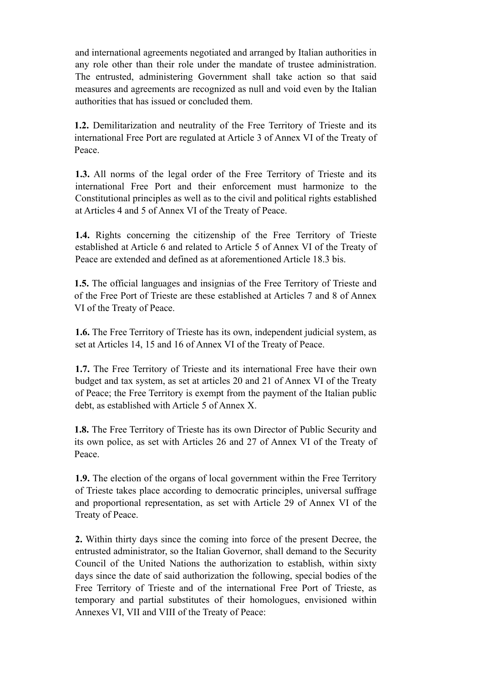and international agreements negotiated and arranged by Italian authorities in any role other than their role under the mandate of trustee administration. The entrusted, administering Government shall take action so that said measures and agreements are recognized as null and void even by the Italian authorities that has issued or concluded them.

**1.2.** Demilitarization and neutrality of the Free Territory of Trieste and its international Free Port are regulated at Article 3 of Annex VI of the Treaty of Peace.

**1.3.** All norms of the legal order of the Free Territory of Trieste and its international Free Port and their enforcement must harmonize to the Constitutional principles as well as to the civil and political rights established at Articles 4 and 5 of Annex VI of the Treaty of Peace.

**1.4.** Rights concerning the citizenship of the Free Territory of Trieste established at Article 6 and related to Article 5 of Annex VI of the Treaty of Peace are extended and defined as at aforementioned Article 18.3 bis.

**1.5.** The official languages and insignias of the Free Territory of Trieste and of the Free Port of Trieste are these established at Articles 7 and 8 of Annex VI of the Treaty of Peace.

**1.6.** The Free Territory of Trieste has its own, independent judicial system, as set at Articles 14, 15 and 16 of Annex VI of the Treaty of Peace.

**1.7.** The Free Territory of Trieste and its international Free have their own budget and tax system, as set at articles 20 and 21 of Annex VI of the Treaty of Peace; the Free Territory is exempt from the payment of the Italian public debt, as established with Article 5 of Annex X.

**1.8.** The Free Territory of Trieste has its own Director of Public Security and its own police, as set with Articles 26 and 27 of Annex VI of the Treaty of Peace.

**1.9.** The election of the organs of local government within the Free Territory of Trieste takes place according to democratic principles, universal suffrage and proportional representation, as set with Article 29 of Annex VI of the Treaty of Peace.

**2.** Within thirty days since the coming into force of the present Decree, the entrusted administrator, so the Italian Governor, shall demand to the Security Council of the United Nations the authorization to establish, within sixty days since the date of said authorization the following, special bodies of the Free Territory of Trieste and of the international Free Port of Trieste, as temporary and partial substitutes of their homologues, envisioned within Annexes VI, VII and VIII of the Treaty of Peace: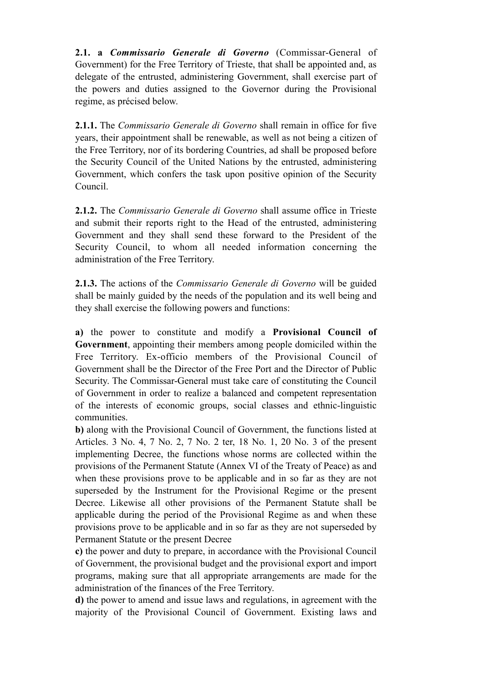**2.1. a** *Commissario Generale di Governo* (Commissar-General of Government) for the Free Territory of Trieste, that shall be appointed and, as delegate of the entrusted, administering Government, shall exercise part of the powers and duties assigned to the Governor during the Provisional regime, as précised below.

**2.1.1.** The *Commissario Generale di Governo* shall remain in office for five years, their appointment shall be renewable, as well as not being a citizen of the Free Territory, nor of its bordering Countries, ad shall be proposed before the Security Council of the United Nations by the entrusted, administering Government, which confers the task upon positive opinion of the Security Council.

**2.1.2.** The *Commissario Generale di Governo* shall assume office in Trieste and submit their reports right to the Head of the entrusted, administering Government and they shall send these forward to the President of the Security Council, to whom all needed information concerning the administration of the Free Territory.

**2.1.3.** The actions of the *Commissario Generale di Governo* will be guided shall be mainly guided by the needs of the population and its well being and they shall exercise the following powers and functions:

**a)** the power to constitute and modify a **Provisional Council of Government**, appointing their members among people domiciled within the Free Territory. Ex-officio members of the Provisional Council of Government shall be the Director of the Free Port and the Director of Public Security. The Commissar-General must take care of constituting the Council of Government in order to realize a balanced and competent representation of the interests of economic groups, social classes and ethnic-linguistic communities.

**b)** along with the Provisional Council of Government, the functions listed at Articles. 3 No. 4, 7 No. 2, 7 No. 2 ter, 18 No. 1, 20 No. 3 of the present implementing Decree, the functions whose norms are collected within the provisions of the Permanent Statute (Annex VI of the Treaty of Peace) as and when these provisions prove to be applicable and in so far as they are not superseded by the Instrument for the Provisional Regime or the present Decree. Likewise all other provisions of the Permanent Statute shall be applicable during the period of the Provisional Regime as and when these provisions prove to be applicable and in so far as they are not superseded by Permanent Statute or the present Decree

**c)** the power and duty to prepare, in accordance with the Provisional Council of Government, the provisional budget and the provisional export and import programs, making sure that all appropriate arrangements are made for the administration of the finances of the Free Territory.

**d)** the power to amend and issue laws and regulations, in agreement with the majority of the Provisional Council of Government. Existing laws and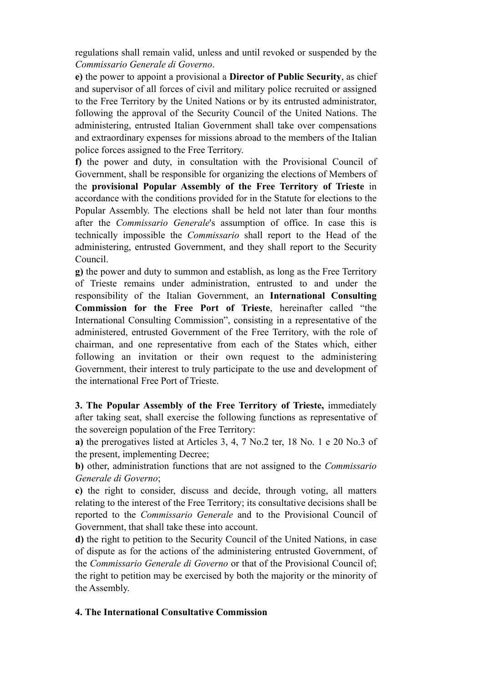regulations shall remain valid, unless and until revoked or suspended by the *Commissario Generale di Governo*.

**e)** the power to appoint a provisional a **Director of Public Security**, as chief and supervisor of all forces of civil and military police recruited or assigned to the Free Territory by the United Nations or by its entrusted administrator, following the approval of the Security Council of the United Nations. The administering, entrusted Italian Government shall take over compensations and extraordinary expenses for missions abroad to the members of the Italian police forces assigned to the Free Territory.

**f)** the power and duty, in consultation with the Provisional Council of Government, shall be responsible for organizing the elections of Members of the **provisional Popular Assembly of the Free Territory of Trieste** in accordance with the conditions provided for in the Statute for elections to the Popular Assembly. The elections shall be held not later than four months after the *Commissario Generale*'s assumption of office. In case this is technically impossible the *Commissario* shall report to the Head of the administering, entrusted Government, and they shall report to the Security Council.

**g)** the power and duty to summon and establish, as long as the Free Territory of Trieste remains under administration, entrusted to and under the responsibility of the Italian Government, an **International Consulting Commission for the Free Port of Trieste**, hereinafter called "the International Consulting Commission", consisting in a representative of the administered, entrusted Government of the Free Territory, with the role of chairman, and one representative from each of the States which, either following an invitation or their own request to the administering Government, their interest to truly participate to the use and development of the international Free Port of Trieste.

**3. The Popular Assembly of the Free Territory of Trieste,** immediately after taking seat, shall exercise the following functions as representative of the sovereign population of the Free Territory:

**a)** the prerogatives listed at Articles 3, 4, 7 No.2 ter, 18 No. 1 e 20 No.3 of the present, implementing Decree;

**b)** other, administration functions that are not assigned to the *Commissario Generale di Governo*;

**c)** the right to consider, discuss and decide, through voting, all matters relating to the interest of the Free Territory; its consultative decisions shall be reported to the *Commissario Generale* and to the Provisional Council of Government, that shall take these into account.

**d)** the right to petition to the Security Council of the United Nations, in case of dispute as for the actions of the administering entrusted Government, of the *Commissario Generale di Governo* or that of the Provisional Council of; the right to petition may be exercised by both the majority or the minority of the Assembly.

### **4. The International Consultative Commission**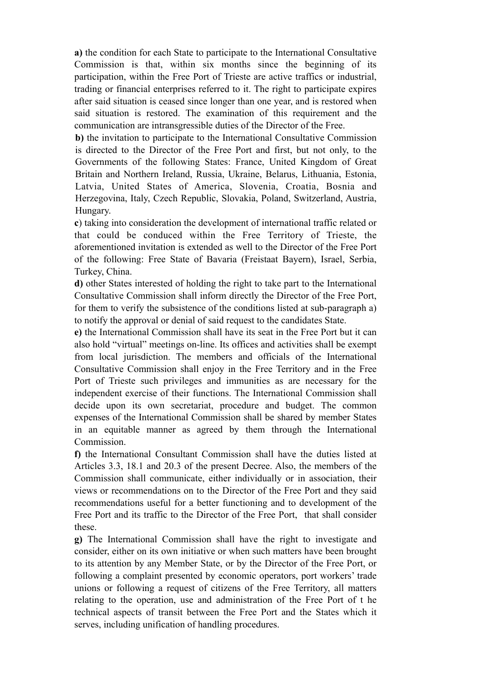**a)** the condition for each State to participate to the International Consultative Commission is that, within six months since the beginning of its participation, within the Free Port of Trieste are active traffics or industrial, trading or financial enterprises referred to it. The right to participate expires after said situation is ceased since longer than one year, and is restored when said situation is restored. The examination of this requirement and the communication are intransgressible duties of the Director of the Free.

**b)** the invitation to participate to the International Consultative Commission is directed to the Director of the Free Port and first, but not only, to the Governments of the following States: France, United Kingdom of Great Britain and Northern Ireland, Russia, Ukraine, Belarus, Lithuania, Estonia, Latvia, United States of America, Slovenia, Croatia, Bosnia and Herzegovina, Italy, Czech Republic, Slovakia, Poland, Switzerland, Austria, Hungary.

**c**) taking into consideration the development of international traffic related or that could be conduced within the Free Territory of Trieste, the aforementioned invitation is extended as well to the Director of the Free Port of the following: Free State of Bavaria (Freistaat Bayern), Israel, Serbia, Turkey, China.

**d)** other States interested of holding the right to take part to the International Consultative Commission shall inform directly the Director of the Free Port, for them to verify the subsistence of the conditions listed at sub-paragraph a) to notify the approval or denial of said request to the candidates State.

**e)** the International Commission shall have its seat in the Free Port but it can also hold "virtual" meetings on-line. Its offices and activities shall be exempt from local jurisdiction. The members and officials of the International Consultative Commission shall enjoy in the Free Territory and in the Free Port of Trieste such privileges and immunities as are necessary for the independent exercise of their functions. The International Commission shall decide upon its own secretariat, procedure and budget. The common expenses of the International Commission shall be shared by member States in an equitable manner as agreed by them through the International Commission.

**f)** the International Consultant Commission shall have the duties listed at Articles 3.3, 18.1 and 20.3 of the present Decree. Also, the members of the Commission shall communicate, either individually or in association, their views or recommendations on to the Director of the Free Port and they said recommendations useful for a better functioning and to development of the Free Port and its traffic to the Director of the Free Port, that shall consider these.

**g)** The International Commission shall have the right to investigate and consider, either on its own initiative or when such matters have been brought to its attention by any Member State, or by the Director of the Free Port, or following a complaint presented by economic operators, port workers' trade unions or following a request of citizens of the Free Territory, all matters relating to the operation, use and administration of the Free Port of t he technical aspects of transit between the Free Port and the States which it serves, including unification of handling procedures.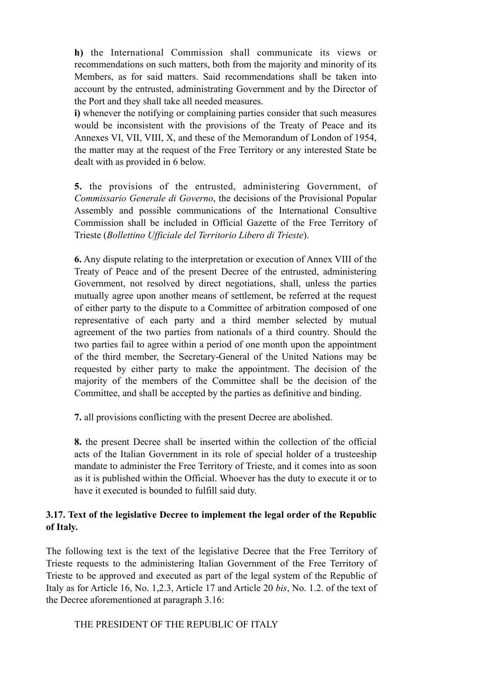**h)** the International Commission shall communicate its views or recommendations on such matters, both from the majority and minority of its Members, as for said matters. Said recommendations shall be taken into account by the entrusted, administrating Government and by the Director of the Port and they shall take all needed measures.

**i)** whenever the notifying or complaining parties consider that such measures would be inconsistent with the provisions of the Treaty of Peace and its Annexes VI, VII, VIII, X, and these of the Memorandum of London of 1954, the matter may at the request of the Free Territory or any interested State be dealt with as provided in 6 below.

**5.** the provisions of the entrusted, administering Government, of *Commissario Generale di Governo*, the decisions of the Provisional Popular Assembly and possible communications of the International Consultive Commission shall be included in Official Gazette of the Free Territory of Trieste (*Bollettino Ufficiale del Territorio Libero di Trieste*).

**6.** Any dispute relating to the interpretation or execution of Annex VIII of the Treaty of Peace and of the present Decree of the entrusted, administering Government, not resolved by direct negotiations, shall, unless the parties mutually agree upon another means of settlement, be referred at the request of either party to the dispute to a Committee of arbitration composed of one representative of each party and a third member selected by mutual agreement of the two parties from nationals of a third country. Should the two parties fail to agree within a period of one month upon the appointment of the third member, the Secretary-General of the United Nations may be requested by either party to make the appointment. The decision of the majority of the members of the Committee shall be the decision of the Committee, and shall be accepted by the parties as definitive and binding.

**7.** all provisions conflicting with the present Decree are abolished.

**8.** the present Decree shall be inserted within the collection of the official acts of the Italian Government in its role of special holder of a trusteeship mandate to administer the Free Territory of Trieste, and it comes into as soon as it is published within the Official. Whoever has the duty to execute it or to have it executed is bounded to fulfill said duty.

### **3.17. Text of the legislative Decree to implement the legal order of the Republic of Italy.**

The following text is the text of the legislative Decree that the Free Territory of Trieste requests to the administering Italian Government of the Free Territory of Trieste to be approved and executed as part of the legal system of the Republic of Italy as for Article 16, No. 1,2.3, Article 17 and Article 20 *bis*, No. 1.2. of the text of the Decree aforementioned at paragraph 3.16:

### THE PRESIDENT OF THE REPUBLIC OF ITALY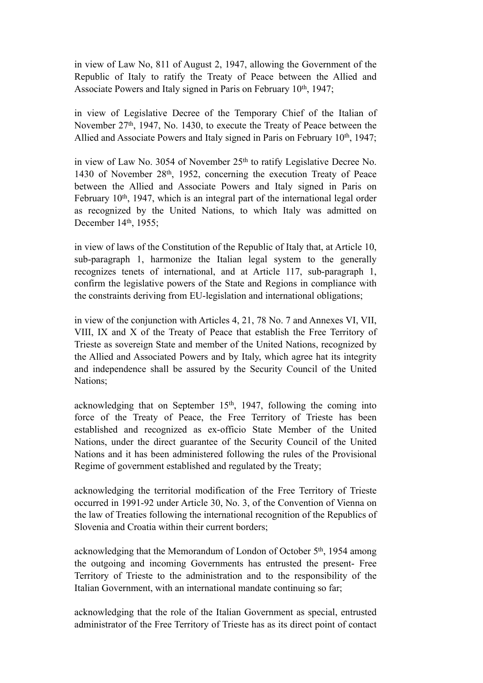in view of Law No, 811 of August 2, 1947, allowing the Government of the Republic of Italy to ratify the Treaty of Peace between the Allied and Associate Powers and Italy signed in Paris on February 10<sup>th</sup>, 1947;

in view of Legislative Decree of the Temporary Chief of the Italian of November 27th, 1947, No. 1430, to execute the Treaty of Peace between the Allied and Associate Powers and Italy signed in Paris on February 10<sup>th</sup>, 1947;

in view of Law No. 3054 of November 25<sup>th</sup> to ratify Legislative Decree No. 1430 of November 28th, 1952, concerning the execution Treaty of Peace between the Allied and Associate Powers and Italy signed in Paris on February 10<sup>th</sup>, 1947, which is an integral part of the international legal order as recognized by the United Nations, to which Italy was admitted on December 14<sup>th</sup>, 1955;

in view of laws of the Constitution of the Republic of Italy that, at Article 10, sub-paragraph 1, harmonize the Italian legal system to the generally recognizes tenets of international, and at Article 117, sub-paragraph 1, confirm the legislative powers of the State and Regions in compliance with the constraints deriving from EU-legislation and international obligations;

in view of the conjunction with Articles 4, 21, 78 No. 7 and Annexes VI, VII, VIII, IX and X of the Treaty of Peace that establish the Free Territory of Trieste as sovereign State and member of the United Nations, recognized by the Allied and Associated Powers and by Italy, which agree hat its integrity and independence shall be assured by the Security Council of the United Nations;

acknowledging that on September 15<sup>th</sup>, 1947, following the coming into force of the Treaty of Peace, the Free Territory of Trieste has been established and recognized as ex-officio State Member of the United Nations, under the direct guarantee of the Security Council of the United Nations and it has been administered following the rules of the Provisional Regime of government established and regulated by the Treaty;

acknowledging the territorial modification of the Free Territory of Trieste occurred in 1991-92 under Article 30, No. 3, of the Convention of Vienna on the law of Treaties following the international recognition of the Republics of Slovenia and Croatia within their current borders;

acknowledging that the Memorandum of London of October 5<sup>th</sup>, 1954 among the outgoing and incoming Governments has entrusted the present- Free Territory of Trieste to the administration and to the responsibility of the Italian Government, with an international mandate continuing so far;

acknowledging that the role of the Italian Government as special, entrusted administrator of the Free Territory of Trieste has as its direct point of contact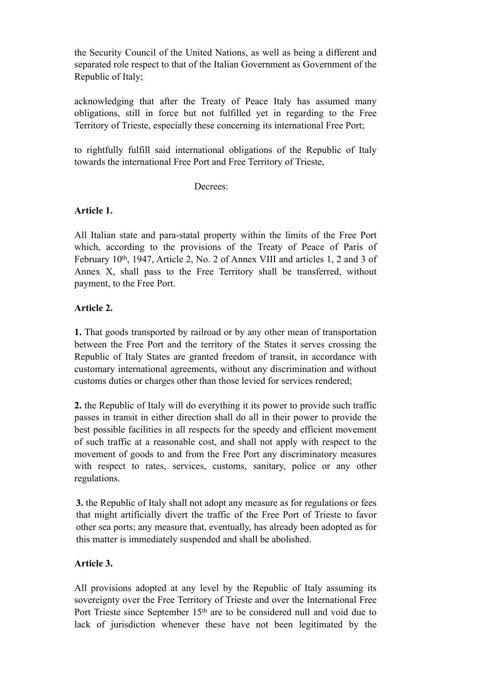the Security Council of the United Nations, as well as being a different and separated role respect to that of the Italian Government as Government of the Republic of Italy;

acknowledging that after the Treaty of Peace Italy has assumed many obligations, still in force but not fulfilled yet in regarding to the Free Territory of Trieste, especially these concerning its international Free Port;

to rightfully fulfill said international obligations of the Republic of Italy towards the international Free Port and Free Territory of Trieste,

#### Decrees:

### **Article 1.**

All Italian state and para-statal property within the limits of the Free Port which, according to the provisions of the Treaty of Peace of Paris of February 10<sup>th</sup>, 1947, Article 2, No. 2 of Annex VIII and articles 1, 2 and 3 of Annex X, shall pass to the Free Territory shall be transferred, without payment, to the Free Port.

### **Article 2.**

**1.** That goods transported by railroad or by any other mean of transportation between the Free Port and the territory of the States it serves crossing the Republic of Italy States are granted freedom of transit, in accordance with customary international agreements, without any discrimination and without customs duties or charges other than those levied for services rendered;

**2.** the Republic of Italy will do everything it its power to provide such traffic passes in transit in either direction shall do all in their power to provide the best possible facilities in all respects for the speedy and efficient movement of such traffic at a reasonable cost, and shall not apply with respect to the movement of goods to and from the Free Port any discriminatory measures with respect to rates, services, customs, sanitary, police or any other regulations.

**3.** the Republic of Italy shall not adopt any measure as for regulations or fees that might artificially divert the traffic of the Free Port of Trieste to favor other sea ports; any measure that, eventually, has already been adopted as for this matter is immediately suspended and shall be abolished.

### **Article 3.**

All provisions adopted at any level by the Republic of Italy assuming its sovereignty over the Free Territory of Trieste and over the International Free Port Trieste since September 15<sup>th</sup> are to be considered null and void due to lack of jurisdiction whenever these have not been legitimated by the